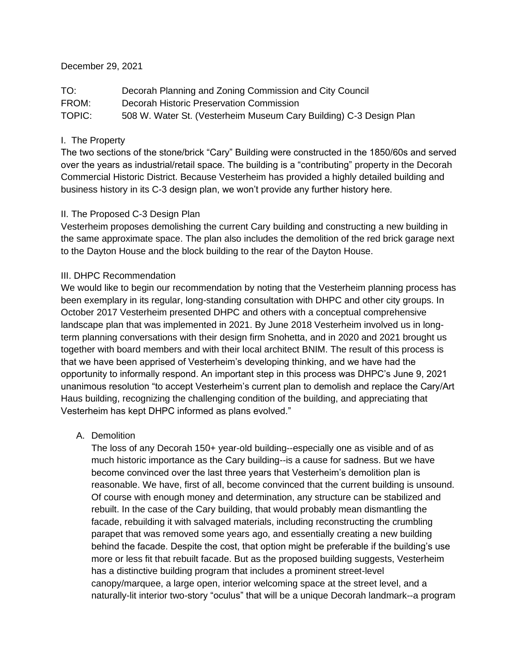### December 29, 2021

TO: Decorah Planning and Zoning Commission and City Council FROM: Decorah Historic Preservation Commission TOPIC: 508 W. Water St. (Vesterheim Museum Cary Building) C-3 Design Plan

# I. The Property

The two sections of the stone/brick "Cary" Building were constructed in the 1850/60s and served over the years as industrial/retail space. The building is a "contributing" property in the Decorah Commercial Historic District. Because Vesterheim has provided a highly detailed building and business history in its C-3 design plan, we won't provide any further history here.

## II. The Proposed C-3 Design Plan

Vesterheim proposes demolishing the current Cary building and constructing a new building in the same approximate space. The plan also includes the demolition of the red brick garage next to the Dayton House and the block building to the rear of the Dayton House.

# III. DHPC Recommendation

We would like to begin our recommendation by noting that the Vesterheim planning process has been exemplary in its regular, long-standing consultation with DHPC and other city groups. In October 2017 Vesterheim presented DHPC and others with a conceptual comprehensive landscape plan that was implemented in 2021. By June 2018 Vesterheim involved us in longterm planning conversations with their design firm Snohetta, and in 2020 and 2021 brought us together with board members and with their local architect BNIM. The result of this process is that we have been apprised of Vesterheim's developing thinking, and we have had the opportunity to informally respond. An important step in this process was DHPC's June 9, 2021 unanimous resolution "to accept Vesterheim's current plan to demolish and replace the Cary/Art Haus building, recognizing the challenging condition of the building, and appreciating that Vesterheim has kept DHPC informed as plans evolved."

## A. Demolition

The loss of any Decorah 150+ year-old building--especially one as visible and of as much historic importance as the Cary building--is a cause for sadness. But we have become convinced over the last three years that Vesterheim's demolition plan is reasonable. We have, first of all, become convinced that the current building is unsound. Of course with enough money and determination, any structure can be stabilized and rebuilt. In the case of the Cary building, that would probably mean dismantling the facade, rebuilding it with salvaged materials, including reconstructing the crumbling parapet that was removed some years ago, and essentially creating a new building behind the facade. Despite the cost, that option might be preferable if the building's use more or less fit that rebuilt facade. But as the proposed building suggests, Vesterheim has a distinctive building program that includes a prominent street-level canopy/marquee, a large open, interior welcoming space at the street level, and a naturally-lit interior two-story "oculus" that will be a unique Decorah landmark--a program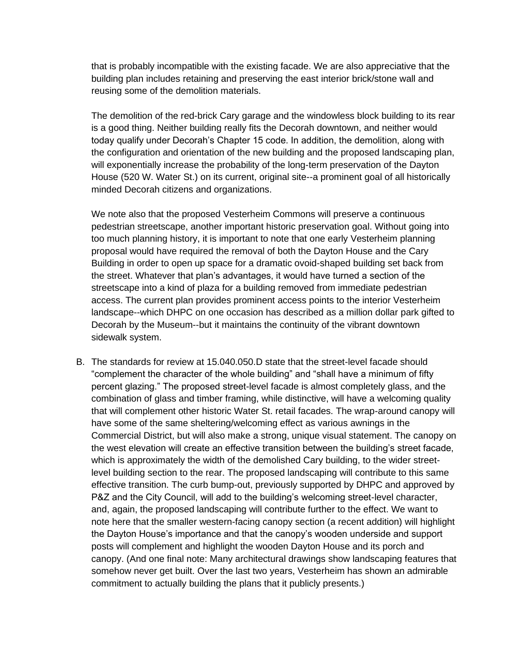that is probably incompatible with the existing facade. We are also appreciative that the building plan includes retaining and preserving the east interior brick/stone wall and reusing some of the demolition materials.

The demolition of the red-brick Cary garage and the windowless block building to its rear is a good thing. Neither building really fits the Decorah downtown, and neither would today qualify under Decorah's Chapter 15 code. In addition, the demolition, along with the configuration and orientation of the new building and the proposed landscaping plan, will exponentially increase the probability of the long-term preservation of the Dayton House (520 W. Water St.) on its current, original site--a prominent goal of all historically minded Decorah citizens and organizations.

We note also that the proposed Vesterheim Commons will preserve a continuous pedestrian streetscape, another important historic preservation goal. Without going into too much planning history, it is important to note that one early Vesterheim planning proposal would have required the removal of both the Dayton House and the Cary Building in order to open up space for a dramatic ovoid-shaped building set back from the street. Whatever that plan's advantages, it would have turned a section of the streetscape into a kind of plaza for a building removed from immediate pedestrian access. The current plan provides prominent access points to the interior Vesterheim landscape--which DHPC on one occasion has described as a million dollar park gifted to Decorah by the Museum--but it maintains the continuity of the vibrant downtown sidewalk system.

B. The standards for review at 15.040.050.D state that the street-level facade should "complement the character of the whole building" and "shall have a minimum of fifty percent glazing." The proposed street-level facade is almost completely glass, and the combination of glass and timber framing, while distinctive, will have a welcoming quality that will complement other historic Water St. retail facades. The wrap-around canopy will have some of the same sheltering/welcoming effect as various awnings in the Commercial District, but will also make a strong, unique visual statement. The canopy on the west elevation will create an effective transition between the building's street facade, which is approximately the width of the demolished Cary building, to the wider streetlevel building section to the rear. The proposed landscaping will contribute to this same effective transition. The curb bump-out, previously supported by DHPC and approved by P&Z and the City Council, will add to the building's welcoming street-level character, and, again, the proposed landscaping will contribute further to the effect. We want to note here that the smaller western-facing canopy section (a recent addition) will highlight the Dayton House's importance and that the canopy's wooden underside and support posts will complement and highlight the wooden Dayton House and its porch and canopy. (And one final note: Many architectural drawings show landscaping features that somehow never get built. Over the last two years, Vesterheim has shown an admirable commitment to actually building the plans that it publicly presents.)